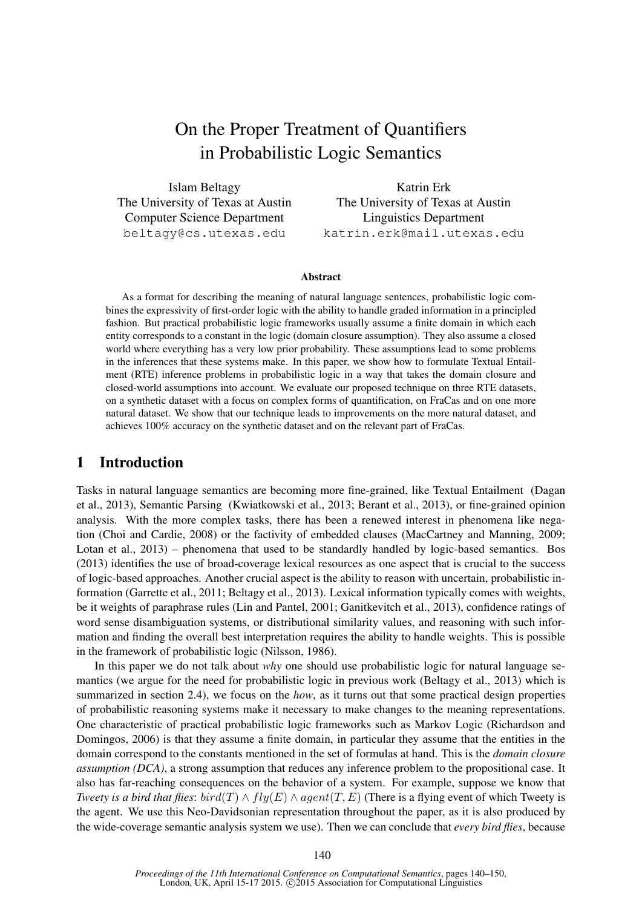# On the Proper Treatment of Quantifiers in Probabilistic Logic Semantics

Islam Beltagy The University of Texas at Austin Computer Science Department beltagy@cs.utexas.edu

Katrin Erk The University of Texas at Austin Linguistics Department katrin.erk@mail.utexas.edu

#### Abstract

As a format for describing the meaning of natural language sentences, probabilistic logic combines the expressivity of first-order logic with the ability to handle graded information in a principled fashion. But practical probabilistic logic frameworks usually assume a finite domain in which each entity corresponds to a constant in the logic (domain closure assumption). They also assume a closed world where everything has a very low prior probability. These assumptions lead to some problems in the inferences that these systems make. In this paper, we show how to formulate Textual Entailment (RTE) inference problems in probabilistic logic in a way that takes the domain closure and closed-world assumptions into account. We evaluate our proposed technique on three RTE datasets, on a synthetic dataset with a focus on complex forms of quantification, on FraCas and on one more natural dataset. We show that our technique leads to improvements on the more natural dataset, and achieves 100% accuracy on the synthetic dataset and on the relevant part of FraCas.

## 1 Introduction

Tasks in natural language semantics are becoming more fine-grained, like Textual Entailment (Dagan et al., 2013), Semantic Parsing (Kwiatkowski et al., 2013; Berant et al., 2013), or fine-grained opinion analysis. With the more complex tasks, there has been a renewed interest in phenomena like negation (Choi and Cardie, 2008) or the factivity of embedded clauses (MacCartney and Manning, 2009; Lotan et al., 2013) – phenomena that used to be standardly handled by logic-based semantics. Bos (2013) identifies the use of broad-coverage lexical resources as one aspect that is crucial to the success of logic-based approaches. Another crucial aspect is the ability to reason with uncertain, probabilistic information (Garrette et al., 2011; Beltagy et al., 2013). Lexical information typically comes with weights, be it weights of paraphrase rules (Lin and Pantel, 2001; Ganitkevitch et al., 2013), confidence ratings of word sense disambiguation systems, or distributional similarity values, and reasoning with such information and finding the overall best interpretation requires the ability to handle weights. This is possible in the framework of probabilistic logic (Nilsson, 1986).

In this paper we do not talk about *why* one should use probabilistic logic for natural language semantics (we argue for the need for probabilistic logic in previous work (Beltagy et al., 2013) which is summarized in section 2.4), we focus on the *how*, as it turns out that some practical design properties of probabilistic reasoning systems make it necessary to make changes to the meaning representations. One characteristic of practical probabilistic logic frameworks such as Markov Logic (Richardson and Domingos, 2006) is that they assume a finite domain, in particular they assume that the entities in the domain correspond to the constants mentioned in the set of formulas at hand. This is the *domain closure assumption (DCA)*, a strong assumption that reduces any inference problem to the propositional case. It also has far-reaching consequences on the behavior of a system. For example, suppose we know that *Tweety is a bird that flies: bird*(T)  $\land$   $fly(E) \land agent(T, E)$  (There is a flying event of which Tweety is the agent. We use this Neo-Davidsonian representation throughout the paper, as it is also produced by the wide-coverage semantic analysis system we use). Then we can conclude that *every bird flies*, because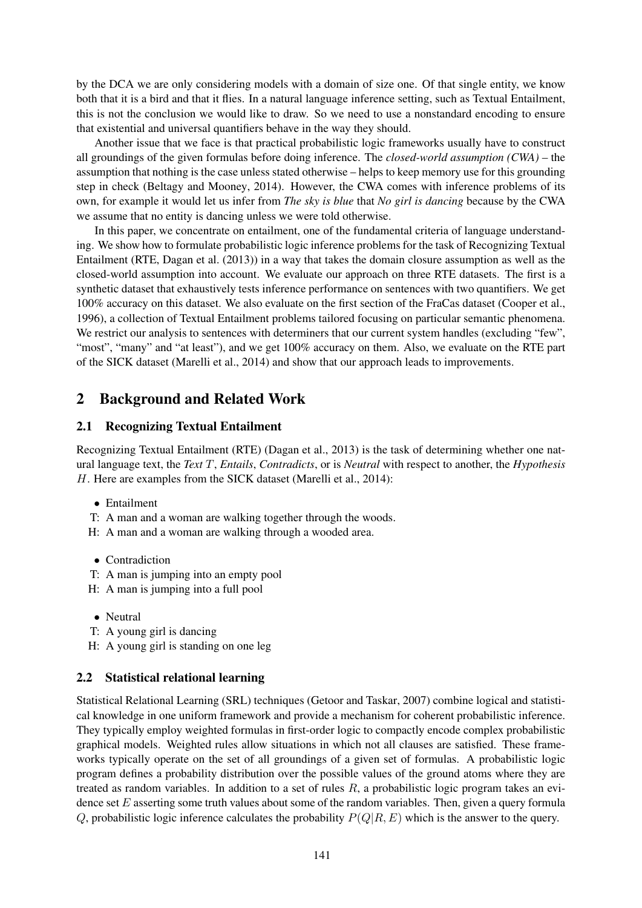by the DCA we are only considering models with a domain of size one. Of that single entity, we know both that it is a bird and that it flies. In a natural language inference setting, such as Textual Entailment, this is not the conclusion we would like to draw. So we need to use a nonstandard encoding to ensure that existential and universal quantifiers behave in the way they should.

Another issue that we face is that practical probabilistic logic frameworks usually have to construct all groundings of the given formulas before doing inference. The *closed-world assumption (CWA)* – the assumption that nothing is the case unless stated otherwise – helps to keep memory use for this grounding step in check (Beltagy and Mooney, 2014). However, the CWA comes with inference problems of its own, for example it would let us infer from *The sky is blue* that *No girl is dancing* because by the CWA we assume that no entity is dancing unless we were told otherwise.

In this paper, we concentrate on entailment, one of the fundamental criteria of language understanding. We show how to formulate probabilistic logic inference problems for the task of Recognizing Textual Entailment (RTE, Dagan et al. (2013)) in a way that takes the domain closure assumption as well as the closed-world assumption into account. We evaluate our approach on three RTE datasets. The first is a synthetic dataset that exhaustively tests inference performance on sentences with two quantifiers. We get 100% accuracy on this dataset. We also evaluate on the first section of the FraCas dataset (Cooper et al., 1996), a collection of Textual Entailment problems tailored focusing on particular semantic phenomena. We restrict our analysis to sentences with determiners that our current system handles (excluding "few", "most", "many" and "at least"), and we get 100% accuracy on them. Also, we evaluate on the RTE part of the SICK dataset (Marelli et al., 2014) and show that our approach leads to improvements.

# 2 Background and Related Work

### 2.1 Recognizing Textual Entailment

Recognizing Textual Entailment (RTE) (Dagan et al., 2013) is the task of determining whether one natural language text, the *Text* T, *Entails*, *Contradicts*, or is *Neutral* with respect to another, the *Hypothesis* H. Here are examples from the SICK dataset (Marelli et al., 2014):

- Entailment
- T: A man and a woman are walking together through the woods.
- H: A man and a woman are walking through a wooded area.
- Contradiction
- T: A man is jumping into an empty pool
- H: A man is jumping into a full pool
- Neutral
- T: A young girl is dancing
- H: A young girl is standing on one leg

### 2.2 Statistical relational learning

Statistical Relational Learning (SRL) techniques (Getoor and Taskar, 2007) combine logical and statistical knowledge in one uniform framework and provide a mechanism for coherent probabilistic inference. They typically employ weighted formulas in first-order logic to compactly encode complex probabilistic graphical models. Weighted rules allow situations in which not all clauses are satisfied. These frameworks typically operate on the set of all groundings of a given set of formulas. A probabilistic logic program defines a probability distribution over the possible values of the ground atoms where they are treated as random variables. In addition to a set of rules  $R$ , a probabilistic logic program takes an evidence set  $E$  asserting some truth values about some of the random variables. Then, given a query formula Q, probabilistic logic inference calculates the probability  $P(Q|R, E)$  which is the answer to the query.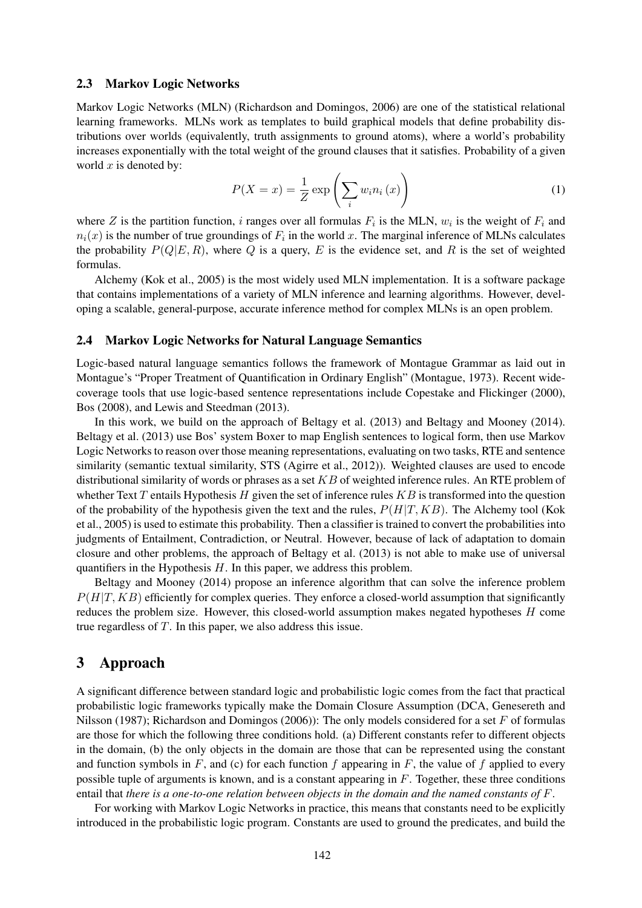#### 2.3 Markov Logic Networks

Markov Logic Networks (MLN) (Richardson and Domingos, 2006) are one of the statistical relational learning frameworks. MLNs work as templates to build graphical models that define probability distributions over worlds (equivalently, truth assignments to ground atoms), where a world's probability increases exponentially with the total weight of the ground clauses that it satisfies. Probability of a given world  $x$  is denoted by:

$$
P(X = x) = \frac{1}{Z} \exp\left(\sum_{i} w_i n_i(x)\right)
$$
 (1)

where Z is the partition function, i ranges over all formulas  $F_i$  is the MLN,  $w_i$  is the weight of  $F_i$  and  $n_i(x)$  is the number of true groundings of  $F_i$  in the world x. The marginal inference of MLNs calculates the probability  $P(Q|E, R)$ , where Q is a query, E is the evidence set, and R is the set of weighted formulas.

Alchemy (Kok et al., 2005) is the most widely used MLN implementation. It is a software package that contains implementations of a variety of MLN inference and learning algorithms. However, developing a scalable, general-purpose, accurate inference method for complex MLNs is an open problem.

### 2.4 Markov Logic Networks for Natural Language Semantics

Logic-based natural language semantics follows the framework of Montague Grammar as laid out in Montague's "Proper Treatment of Quantification in Ordinary English" (Montague, 1973). Recent widecoverage tools that use logic-based sentence representations include Copestake and Flickinger (2000), Bos (2008), and Lewis and Steedman (2013).

In this work, we build on the approach of Beltagy et al. (2013) and Beltagy and Mooney (2014). Beltagy et al. (2013) use Bos' system Boxer to map English sentences to logical form, then use Markov Logic Networks to reason over those meaning representations, evaluating on two tasks, RTE and sentence similarity (semantic textual similarity, STS (Agirre et al., 2012)). Weighted clauses are used to encode distributional similarity of words or phrases as a set  $KB$  of weighted inference rules. An RTE problem of whether Text T entails Hypothesis H given the set of inference rules  $KB$  is transformed into the question of the probability of the hypothesis given the text and the rules,  $P(H|T, KB)$ . The Alchemy tool (Kok et al., 2005) is used to estimate this probability. Then a classifier is trained to convert the probabilities into judgments of Entailment, Contradiction, or Neutral. However, because of lack of adaptation to domain closure and other problems, the approach of Beltagy et al. (2013) is not able to make use of universal quantifiers in the Hypothesis  $H$ . In this paper, we address this problem.

Beltagy and Mooney (2014) propose an inference algorithm that can solve the inference problem  $P(H|T, KB)$  efficiently for complex queries. They enforce a closed-world assumption that significantly reduces the problem size. However, this closed-world assumption makes negated hypotheses H come true regardless of T. In this paper, we also address this issue.

## 3 Approach

A significant difference between standard logic and probabilistic logic comes from the fact that practical probabilistic logic frameworks typically make the Domain Closure Assumption (DCA, Genesereth and Nilsson (1987); Richardson and Domingos (2006)): The only models considered for a set  $F$  of formulas are those for which the following three conditions hold. (a) Different constants refer to different objects in the domain, (b) the only objects in the domain are those that can be represented using the constant and function symbols in  $F$ , and (c) for each function f appearing in  $F$ , the value of f applied to every possible tuple of arguments is known, and is a constant appearing in  $F$ . Together, these three conditions entail that *there is a one-to-one relation between objects in the domain and the named constants of* F.

For working with Markov Logic Networks in practice, this means that constants need to be explicitly introduced in the probabilistic logic program. Constants are used to ground the predicates, and build the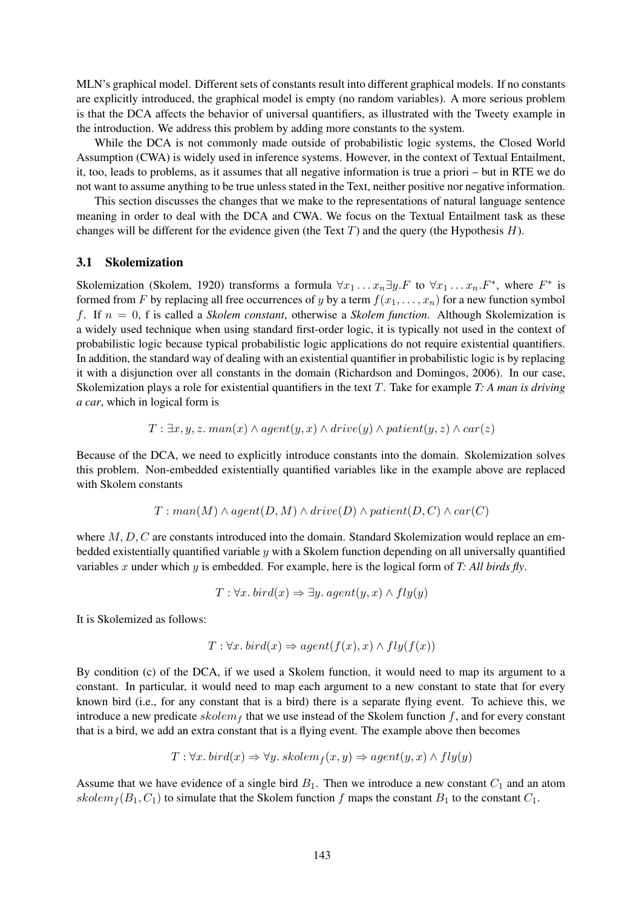MLN's graphical model. Different sets of constants result into different graphical models. If no constants are explicitly introduced, the graphical model is empty (no random variables). A more serious problem is that the DCA affects the behavior of universal quantifiers, as illustrated with the Tweety example in the introduction. We address this problem by adding more constants to the system.

While the DCA is not commonly made outside of probabilistic logic systems, the Closed World Assumption (CWA) is widely used in inference systems. However, in the context of Textual Entailment, it, too, leads to problems, as it assumes that all negative information is true a priori – but in RTE we do not want to assume anything to be true unless stated in the Text, neither positive nor negative information.

This section discusses the changes that we make to the representations of natural language sentence meaning in order to deal with the DCA and CWA. We focus on the Textual Entailment task as these changes will be different for the evidence given (the Text  $T$ ) and the query (the Hypothesis  $H$ ).

#### 3.1 Skolemization

Skolemization (Skolem, 1920) transforms a formula  $\forall x_1 \dots x_n \exists y \dots F$  to  $\forall x_1 \dots x_n \dots F^*$ , where  $F^*$  is formed from F by replacing all free occurrences of y by a term  $f(x_1, \ldots, x_n)$  for a new function symbol f. If n = 0, f is called a *Skolem constant*, otherwise a *Skolem function*. Although Skolemization is a widely used technique when using standard first-order logic, it is typically not used in the context of probabilistic logic because typical probabilistic logic applications do not require existential quantifiers. In addition, the standard way of dealing with an existential quantifier in probabilistic logic is by replacing it with a disjunction over all constants in the domain (Richardson and Domingos, 2006). In our case, Skolemization plays a role for existential quantifiers in the text T. Take for example *T: A man is driving a car*, which in logical form is

$$
T: \exists x, y, z. \, man(x) \land agent(y, x) \land drive(y) \land patient(y, z) \land car(z)
$$

Because of the DCA, we need to explicitly introduce constants into the domain. Skolemization solves this problem. Non-embedded existentially quantified variables like in the example above are replaced with Skolem constants

$$
T: man(M) \wedge agent(D, M) \wedge drive(D) \wedge patient(D, C) \wedge car(C)
$$

where  $M, D, C$  are constants introduced into the domain. Standard Skolemization would replace an embedded existentially quantified variable  $y$  with a Skolem function depending on all universally quantified variables x under which y is embedded. For example, here is the logical form of *T: All birds fly*.

$$
T: \forall x. \; bird(x) \Rightarrow \exists y. \; agent(y, x) \land fly(y)
$$

It is Skolemized as follows:

$$
T: \forall x. \; bird(x) \Rightarrow agent(f(x), x) \land fly(f(x))
$$

By condition (c) of the DCA, if we used a Skolem function, it would need to map its argument to a constant. In particular, it would need to map each argument to a new constant to state that for every known bird (i.e., for any constant that is a bird) there is a separate flying event. To achieve this, we introduce a new predicate  $skolem_f$  that we use instead of the Skolem function f, and for every constant that is a bird, we add an extra constant that is a flying event. The example above then becomes

$$
T: \forall x. \; bird(x) \Rightarrow \forall y. \; skolem_f(x, y) \Rightarrow agent(y, x) \land fly(y)
$$

Assume that we have evidence of a single bird  $B_1$ . Then we introduce a new constant  $C_1$  and an atom  $skolem_f (B_1, C_1)$  to simulate that the Skolem function f maps the constant  $B_1$  to the constant  $C_1$ .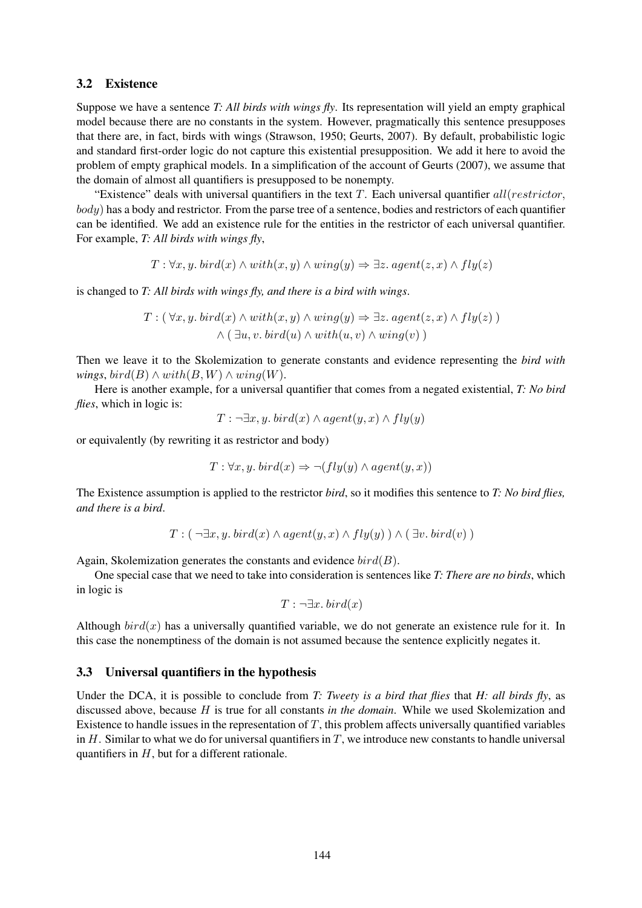#### 3.2 Existence

Suppose we have a sentence *T: All birds with wings fly*. Its representation will yield an empty graphical model because there are no constants in the system. However, pragmatically this sentence presupposes that there are, in fact, birds with wings (Strawson, 1950; Geurts, 2007). By default, probabilistic logic and standard first-order logic do not capture this existential presupposition. We add it here to avoid the problem of empty graphical models. In a simplification of the account of Geurts (2007), we assume that the domain of almost all quantifiers is presupposed to be nonempty.

"Existence" deals with universal quantifiers in the text  $T$ . Each universal quantifier all(restrictor, body) has a body and restrictor. From the parse tree of a sentence, bodies and restrictors of each quantifier can be identified. We add an existence rule for the entities in the restrictor of each universal quantifier. For example, *T: All birds with wings fly*,

$$
T: \forall x, y. \; \text{bird}(x) \land \text{with}(x, y) \land \text{wing}(y) \Rightarrow \exists z. \; \text{agent}(z, x) \land \text{fly}(z)
$$

is changed to *T: All birds with wings fly, and there is a bird with wings*.

$$
T: (\forall x, y. \; \text{bird}(x) \land \text{with}(x, y) \land \text{wing}(y) \Rightarrow \exists z. \; \text{agent}(z, x) \land \text{fly}(z))
$$

$$
\land (\exists u, v. \; \text{bird}(u) \land \text{with}(u, v) \land \text{wing}(v))
$$

Then we leave it to the Skolemization to generate constants and evidence representing the *bird with wings, bird(B)*  $\wedge$  *with(B,W)*  $\wedge$  *wing(W).* 

Here is another example, for a universal quantifier that comes from a negated existential, *T: No bird flies*, which in logic is:

$$
T: \neg \exists x, y. \; bird(x) \land agent(y, x) \land fly(y)
$$

or equivalently (by rewriting it as restrictor and body)

$$
T: \forall x, y. \; \text{bird}(x) \Rightarrow \neg(fly(y) \land \text{agent}(y, x))
$$

The Existence assumption is applied to the restrictor *bird*, so it modifies this sentence to *T: No bird flies, and there is a bird*.

$$
T: (\neg \exists x, y. \; bird(x) \land agent(y, x) \land fly(y)) \land (\exists v. \; bird(v))
$$

Again, Skolemization generates the constants and evidence  $bird(B)$ .

One special case that we need to take into consideration is sentences like *T: There are no birds*, which in logic is

$$
T : \neg \exists x. \, bird(x)
$$

Although  $bird(x)$  has a universally quantified variable, we do not generate an existence rule for it. In this case the nonemptiness of the domain is not assumed because the sentence explicitly negates it.

#### 3.3 Universal quantifiers in the hypothesis

Under the DCA, it is possible to conclude from *T: Tweety is a bird that flies* that *H: all birds fly*, as discussed above, because H is true for all constants *in the domain*. While we used Skolemization and Existence to handle issues in the representation of  $T$ , this problem affects universally quantified variables in  $H$ . Similar to what we do for universal quantifiers in  $T$ , we introduce new constants to handle universal quantifiers in  $H$ , but for a different rationale.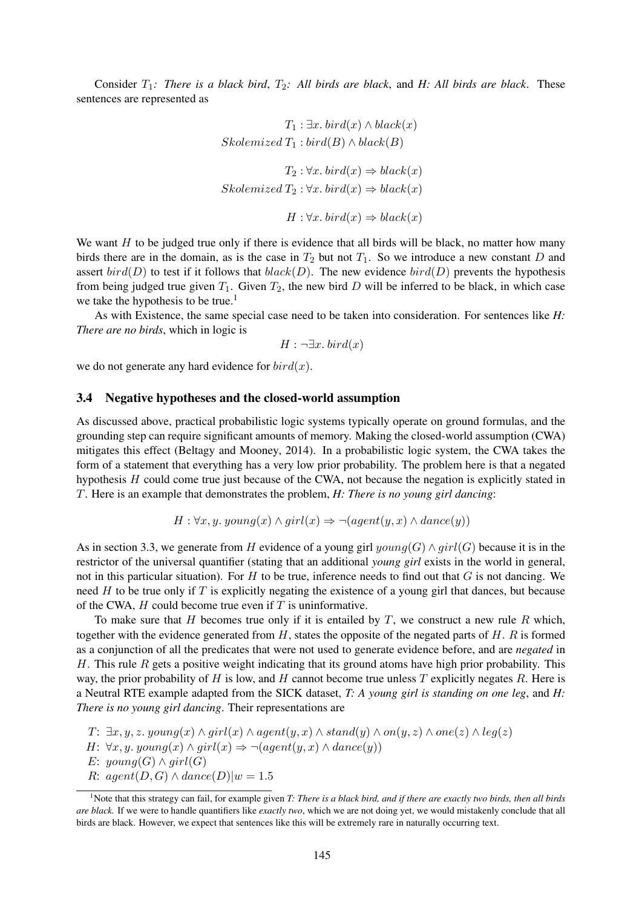Consider  $T_1$ : There is a black bird,  $T_2$ : All birds are black, and H: All birds are black. These sentences are represented as

$$
T_1: \exists x. \; bird(x) \land black(x)
$$
  
\n
$$
Skolemized T_1: bird(B) \land black(B)
$$
  
\n
$$
T_2: \forall x. \; bird(x) \Rightarrow black(x)
$$
  
\n
$$
Skolemized T_2: \forall x. \; bird(x) \Rightarrow black(x)
$$
  
\n
$$
H: \forall x. \; bird(x) \Rightarrow black(x)
$$

We want  $H$  to be judged true only if there is evidence that all birds will be black, no matter how many birds there are in the domain, as is the case in  $T_2$  but not  $T_1$ . So we introduce a new constant D and assert  $bird(D)$  to test if it follows that  $black(D)$ . The new evidence  $bird(D)$  prevents the hypothesis from being judged true given  $T_1$ . Given  $T_2$ , the new bird D will be inferred to be black, in which case we take the hypothesis to be true.<sup>1</sup>

As with Existence, the same special case need to be taken into consideration. For sentences like *H: There are no birds*, which in logic is

$$
H: \neg \exists x. \, bird(x)
$$

we do not generate any hard evidence for  $bird(x)$ .

#### 3.4 Negative hypotheses and the closed-world assumption

As discussed above, practical probabilistic logic systems typically operate on ground formulas, and the grounding step can require significant amounts of memory. Making the closed-world assumption (CWA) mitigates this effect (Beltagy and Mooney, 2014). In a probabilistic logic system, the CWA takes the form of a statement that everything has a very low prior probability. The problem here is that a negated hypothesis  $H$  could come true just because of the CWA, not because the negation is explicitly stated in T. Here is an example that demonstrates the problem, *H: There is no young girl dancing*:

$$
H: \forall x, y. \, young(x) \land girl(x) \Rightarrow \neg (agent(y, x) \land dance(y))
$$

As in section 3.3, we generate from H evidence of a young girl  $\text{gamma}(G) \wedge \text{qirl}(G)$  because it is in the restrictor of the universal quantifier (stating that an additional *young girl* exists in the world in general, not in this particular situation). For  $H$  to be true, inference needs to find out that  $G$  is not dancing. We need  $H$  to be true only if  $T$  is explicitly negating the existence of a young girl that dances, but because of the CWA,  $H$  could become true even if  $T$  is uninformative.

To make sure that H becomes true only if it is entailed by T, we construct a new rule R which, together with the evidence generated from  $H$ , states the opposite of the negated parts of  $H$ .  $R$  is formed as a conjunction of all the predicates that were not used to generate evidence before, and are *negated* in H. This rule R gets a positive weight indicating that its ground atoms have high prior probability. This way, the prior probability of H is low, and H cannot become true unless  $T$  explicitly negates  $R$ . Here is a Neutral RTE example adapted from the SICK dataset, *T: A young girl is standing on one leg*, and *H: There is no young girl dancing*. Their representations are

$$
T: \exists x, y, z. \, young(x) \land girl(x) \land agent(y, x) \land stand(y) \land on(y, z) \land one(z) \land leg(z)
$$

H:  $\forall x, y$ . young $(x) \land girl(x) \Rightarrow \neg (agent(y, x) \land dance(y))$ 

E:  $\mathit{young}(G) \wedge \mathit{qirl}(G)$ 

R:  $agent(D, G) \wedge dance(D)|w = 1.5$ 

<sup>1</sup>Note that this strategy can fail, for example given *T: There is a black bird, and if there are exactly two birds, then all birds are black.* If we were to handle quantifiers like *exactly two*, which we are not doing yet, we would mistakenly conclude that all birds are black. However, we expect that sentences like this will be extremely rare in naturally occurring text.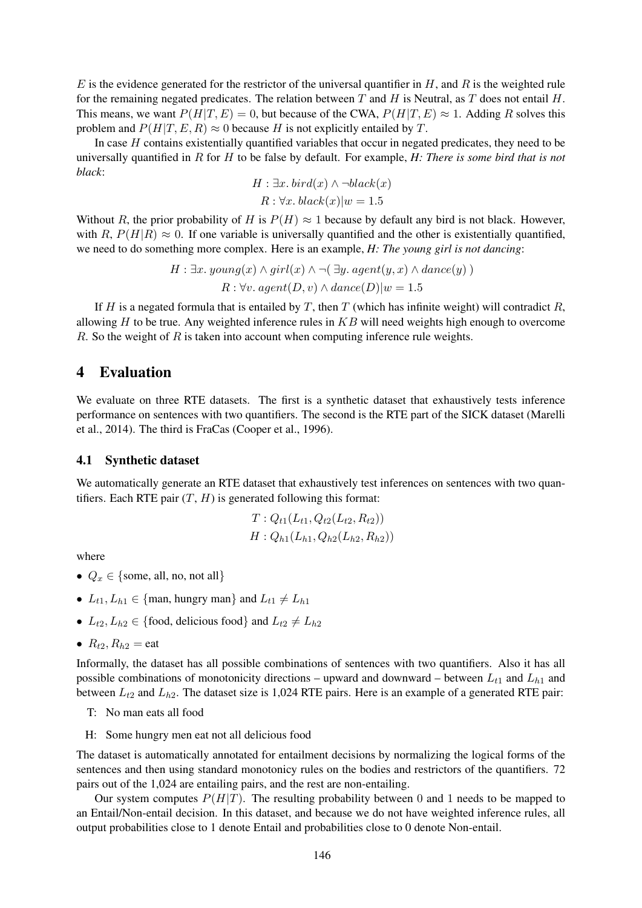E is the evidence generated for the restrictor of the universal quantifier in  $H$ , and  $R$  is the weighted rule for the remaining negated predicates. The relation between T and H is Neutral, as T does not entail H. This means, we want  $P(H|T, E) = 0$ , but because of the CWA,  $P(H|T, E) \approx 1$ . Adding R solves this problem and  $P(H|T, E, R) \approx 0$  because H is not explicitly entailed by T.

In case  $H$  contains existentially quantified variables that occur in negated predicates, they need to be universally quantified in R for H to be false by default. For example, *H: There is some bird that is not black*:

$$
H: \exists x. \; bird(x) \land \neg black(x)
$$

$$
R: \forall x. \; black(x)|w = 1.5
$$

Without R, the prior probability of H is  $P(H) \approx 1$  because by default any bird is not black. However, with R,  $P(H|R) \approx 0$ . If one variable is universally quantified and the other is existentially quantified, we need to do something more complex. Here is an example, *H: The young girl is not dancing*:

$$
H: \exists x. \, young(x) \land girl(x) \land \neg(\exists y. \, agent(y, x) \land dance(y))
$$

$$
R: \forall v. \, agent(D, v) \land dance(D)|w = 1.5
$$

If H is a negated formula that is entailed by T, then T (which has infinite weight) will contradict R, allowing  $H$  to be true. Any weighted inference rules in  $KB$  will need weights high enough to overcome  $R$ . So the weight of  $R$  is taken into account when computing inference rule weights.

# 4 Evaluation

We evaluate on three RTE datasets. The first is a synthetic dataset that exhaustively tests inference performance on sentences with two quantifiers. The second is the RTE part of the SICK dataset (Marelli et al., 2014). The third is FraCas (Cooper et al., 1996).

#### 4.1 Synthetic dataset

We automatically generate an RTE dataset that exhaustively test inferences on sentences with two quantifiers. Each RTE pair  $(T, H)$  is generated following this format:

$$
T: Q_{t1}(L_{t1}, Q_{t2}(L_{t2}, R_{t2}))
$$
  

$$
H: Q_{h1}(L_{h1}, Q_{h2}(L_{h2}, R_{h2}))
$$

where

- $Q_x \in \{\text{some, all, no, not all}\}\$
- $L_{t1}, L_{h1} \in \{\text{man}, \text{hungry man}\}\$  and  $L_{t1} \neq L_{h1}$
- $L_{t2}, L_{h2} \in \{\text{food}, \text{delicious food}\}\$  and  $L_{t2} \neq L_{h2}$
- $R_{t2}, R_{h2} =$ eat

Informally, the dataset has all possible combinations of sentences with two quantifiers. Also it has all possible combinations of monotonicity directions – upward and downward – between  $L_{t1}$  and  $L_{h1}$  and between  $L_{t2}$  and  $L_{h2}$ . The dataset size is 1,024 RTE pairs. Here is an example of a generated RTE pair:

- T: No man eats all food
- H: Some hungry men eat not all delicious food

The dataset is automatically annotated for entailment decisions by normalizing the logical forms of the sentences and then using standard monotonicy rules on the bodies and restrictors of the quantifiers. 72 pairs out of the 1,024 are entailing pairs, and the rest are non-entailing.

Our system computes  $P(H|T)$ . The resulting probability between 0 and 1 needs to be mapped to an Entail/Non-entail decision. In this dataset, and because we do not have weighted inference rules, all output probabilities close to 1 denote Entail and probabilities close to 0 denote Non-entail.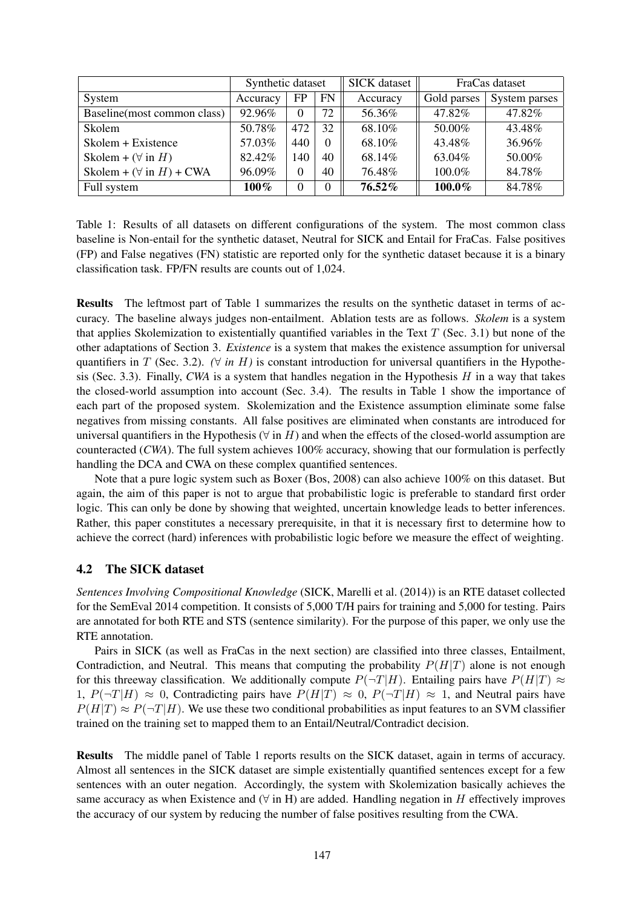|                                 | Synthetic dataset |          |           | <b>SICK</b> dataset | FraCas dataset |               |
|---------------------------------|-------------------|----------|-----------|---------------------|----------------|---------------|
| System                          | Accuracy          | FP       | <b>FN</b> | Accuracy            | Gold parses    | System parses |
| Baseline (most common class)    | 92.96%            | $\Omega$ | 72        | 56.36%              | 47.82%         | 47.82%        |
| Skolem                          | 50.78%            | 472      | 32        | 68.10%              | 50.00%         | 43.48%        |
| Skolem + Existence              | 57.03%            | 440      | $\Omega$  | 68.10%              | 43.48%         | 36.96%        |
| Skolem + $(\forall$ in H)       | 82.42%            | 140      | 40        | 68.14%              | 63.04%         | 50.00%        |
| Skolem + $(\forall$ in H) + CWA | 96.09%            | $\Omega$ | 40        | 76.48%              | 100.0%         | 84.78%        |
| Full system                     | $100\%$           | $\Omega$ | $\Omega$  | 76.52%              | 100.0%         | 84.78%        |

Table 1: Results of all datasets on different configurations of the system. The most common class baseline is Non-entail for the synthetic dataset, Neutral for SICK and Entail for FraCas. False positives (FP) and False negatives (FN) statistic are reported only for the synthetic dataset because it is a binary classification task. FP/FN results are counts out of 1,024.

Results The leftmost part of Table 1 summarizes the results on the synthetic dataset in terms of accuracy. The baseline always judges non-entailment. Ablation tests are as follows. *Skolem* is a system that applies Skolemization to existentially quantified variables in the Text  $T$  (Sec. 3.1) but none of the other adaptations of Section 3. *Existence* is a system that makes the existence assumption for universal quantifiers in T (Sec. 3.2).  $(\forall \text{ in } H)$  is constant introduction for universal quantifiers in the Hypothesis (Sec. 3.3). Finally, *CWA* is a system that handles negation in the Hypothesis  $H$  in a way that takes the closed-world assumption into account (Sec. 3.4). The results in Table 1 show the importance of each part of the proposed system. Skolemization and the Existence assumption eliminate some false negatives from missing constants. All false positives are eliminated when constants are introduced for universal quantifiers in the Hypothesis ( $\forall$  in H) and when the effects of the closed-world assumption are counteracted (*CWA*). The full system achieves 100% accuracy, showing that our formulation is perfectly handling the DCA and CWA on these complex quantified sentences.

Note that a pure logic system such as Boxer (Bos, 2008) can also achieve 100% on this dataset. But again, the aim of this paper is not to argue that probabilistic logic is preferable to standard first order logic. This can only be done by showing that weighted, uncertain knowledge leads to better inferences. Rather, this paper constitutes a necessary prerequisite, in that it is necessary first to determine how to achieve the correct (hard) inferences with probabilistic logic before we measure the effect of weighting.

### 4.2 The SICK dataset

*Sentences Involving Compositional Knowledge* (SICK, Marelli et al. (2014)) is an RTE dataset collected for the SemEval 2014 competition. It consists of 5,000 T/H pairs for training and 5,000 for testing. Pairs are annotated for both RTE and STS (sentence similarity). For the purpose of this paper, we only use the RTE annotation.

Pairs in SICK (as well as FraCas in the next section) are classified into three classes, Entailment, Contradiction, and Neutral. This means that computing the probability  $P(H|T)$  alone is not enough for this threeway classification. We additionally compute  $P(\neg T|H)$ . Entailing pairs have  $P(H|T) \approx$ 1,  $P(\neg T|H) \approx 0$ , Contradicting pairs have  $P(H|T) \approx 0$ ,  $P(\neg T|H) \approx 1$ , and Neutral pairs have  $P(H|T) \approx P(\neg T|H)$ . We use these two conditional probabilities as input features to an SVM classifier trained on the training set to mapped them to an Entail/Neutral/Contradict decision.

Results The middle panel of Table 1 reports results on the SICK dataset, again in terms of accuracy. Almost all sentences in the SICK dataset are simple existentially quantified sentences except for a few sentences with an outer negation. Accordingly, the system with Skolemization basically achieves the same accuracy as when Existence and  $(∀ in H)$  are added. Handling negation in H effectively improves the accuracy of our system by reducing the number of false positives resulting from the CWA.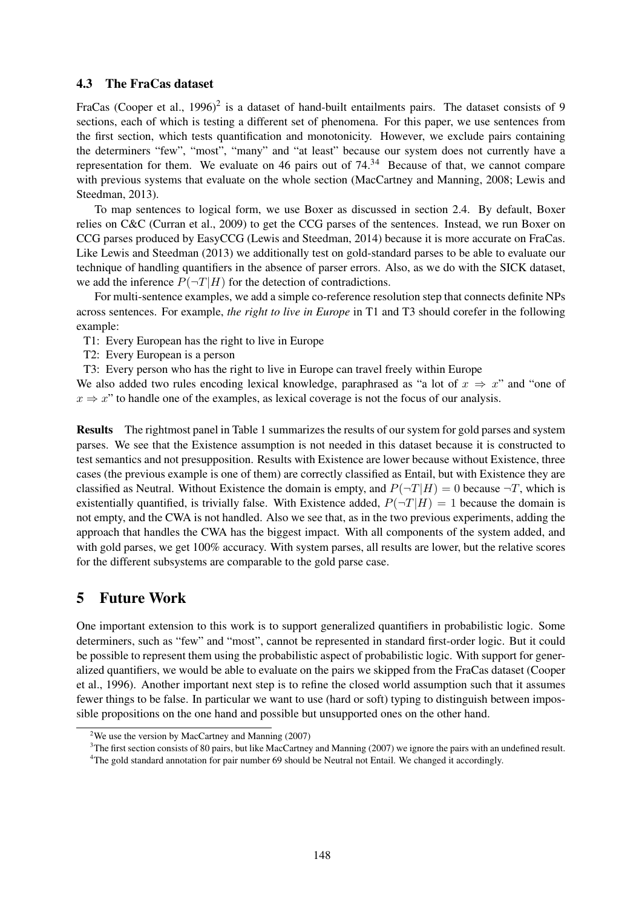### 4.3 The FraCas dataset

FraCas (Cooper et al., 1996)<sup>2</sup> is a dataset of hand-built entailments pairs. The dataset consists of 9 sections, each of which is testing a different set of phenomena. For this paper, we use sentences from the first section, which tests quantification and monotonicity. However, we exclude pairs containing the determiners "few", "most", "many" and "at least" because our system does not currently have a representation for them. We evaluate on 46 pairs out of 74.<sup>34</sup> Because of that, we cannot compare with previous systems that evaluate on the whole section (MacCartney and Manning, 2008; Lewis and Steedman, 2013).

To map sentences to logical form, we use Boxer as discussed in section 2.4. By default, Boxer relies on C&C (Curran et al., 2009) to get the CCG parses of the sentences. Instead, we run Boxer on CCG parses produced by EasyCCG (Lewis and Steedman, 2014) because it is more accurate on FraCas. Like Lewis and Steedman (2013) we additionally test on gold-standard parses to be able to evaluate our technique of handling quantifiers in the absence of parser errors. Also, as we do with the SICK dataset, we add the inference  $P(\neg T|H)$  for the detection of contradictions.

For multi-sentence examples, we add a simple co-reference resolution step that connects definite NPs across sentences. For example, *the right to live in Europe* in T1 and T3 should corefer in the following example:

T1: Every European has the right to live in Europe

T2: Every European is a person

T3: Every person who has the right to live in Europe can travel freely within Europe

We also added two rules encoding lexical knowledge, paraphrased as "a lot of  $x \Rightarrow x$ " and "one of  $x \to x$ " to handle one of the examples, as lexical coverage is not the focus of our analysis.

Results The rightmost panel in Table 1 summarizes the results of our system for gold parses and system parses. We see that the Existence assumption is not needed in this dataset because it is constructed to test semantics and not presupposition. Results with Existence are lower because without Existence, three cases (the previous example is one of them) are correctly classified as Entail, but with Existence they are classified as Neutral. Without Existence the domain is empty, and  $P(\neg T|H) = 0$  because  $\neg T$ , which is existentially quantified, is trivially false. With Existence added,  $P(\neg T|H) = 1$  because the domain is not empty, and the CWA is not handled. Also we see that, as in the two previous experiments, adding the approach that handles the CWA has the biggest impact. With all components of the system added, and with gold parses, we get  $100\%$  accuracy. With system parses, all results are lower, but the relative scores for the different subsystems are comparable to the gold parse case.

# 5 Future Work

One important extension to this work is to support generalized quantifiers in probabilistic logic. Some determiners, such as "few" and "most", cannot be represented in standard first-order logic. But it could be possible to represent them using the probabilistic aspect of probabilistic logic. With support for generalized quantifiers, we would be able to evaluate on the pairs we skipped from the FraCas dataset (Cooper et al., 1996). Another important next step is to refine the closed world assumption such that it assumes fewer things to be false. In particular we want to use (hard or soft) typing to distinguish between impossible propositions on the one hand and possible but unsupported ones on the other hand.

<sup>3</sup>The first section consists of 80 pairs, but like MacCartney and Manning (2007) we ignore the pairs with an undefined result.

<sup>&</sup>lt;sup>2</sup>We use the version by MacCartney and Manning  $(2007)$ 

<sup>&</sup>lt;sup>4</sup>The gold standard annotation for pair number 69 should be Neutral not Entail. We changed it accordingly.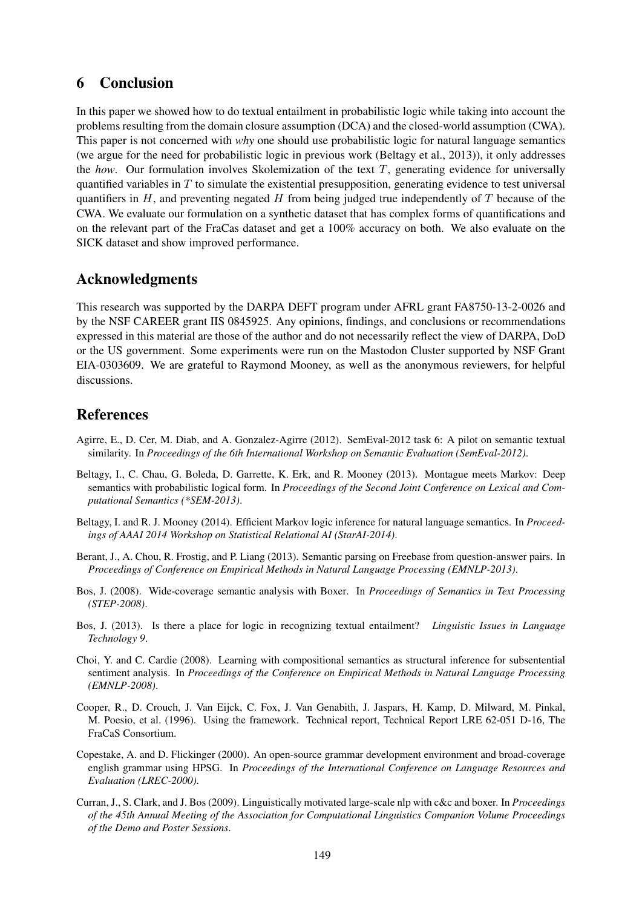# 6 Conclusion

In this paper we showed how to do textual entailment in probabilistic logic while taking into account the problems resulting from the domain closure assumption (DCA) and the closed-world assumption (CWA). This paper is not concerned with *why* one should use probabilistic logic for natural language semantics (we argue for the need for probabilistic logic in previous work (Beltagy et al., 2013)), it only addresses the *how*. Our formulation involves Skolemization of the text T, generating evidence for universally quantified variables in  $T$  to simulate the existential presupposition, generating evidence to test universal quantifiers in  $H$ , and preventing negated  $H$  from being judged true independently of  $T$  because of the CWA. We evaluate our formulation on a synthetic dataset that has complex forms of quantifications and on the relevant part of the FraCas dataset and get a 100% accuracy on both. We also evaluate on the SICK dataset and show improved performance.

# Acknowledgments

This research was supported by the DARPA DEFT program under AFRL grant FA8750-13-2-0026 and by the NSF CAREER grant IIS 0845925. Any opinions, findings, and conclusions or recommendations expressed in this material are those of the author and do not necessarily reflect the view of DARPA, DoD or the US government. Some experiments were run on the Mastodon Cluster supported by NSF Grant EIA-0303609. We are grateful to Raymond Mooney, as well as the anonymous reviewers, for helpful discussions.

# References

- Agirre, E., D. Cer, M. Diab, and A. Gonzalez-Agirre (2012). SemEval-2012 task 6: A pilot on semantic textual similarity. In *Proceedings of the 6th International Workshop on Semantic Evaluation (SemEval-2012)*.
- Beltagy, I., C. Chau, G. Boleda, D. Garrette, K. Erk, and R. Mooney (2013). Montague meets Markov: Deep semantics with probabilistic logical form. In *Proceedings of the Second Joint Conference on Lexical and Computational Semantics (\*SEM-2013)*.
- Beltagy, I. and R. J. Mooney (2014). Efficient Markov logic inference for natural language semantics. In *Proceedings of AAAI 2014 Workshop on Statistical Relational AI (StarAI-2014)*.
- Berant, J., A. Chou, R. Frostig, and P. Liang (2013). Semantic parsing on Freebase from question-answer pairs. In *Proceedings of Conference on Empirical Methods in Natural Language Processing (EMNLP-2013)*.
- Bos, J. (2008). Wide-coverage semantic analysis with Boxer. In *Proceedings of Semantics in Text Processing (STEP-2008)*.
- Bos, J. (2013). Is there a place for logic in recognizing textual entailment? *Linguistic Issues in Language Technology 9*.
- Choi, Y. and C. Cardie (2008). Learning with compositional semantics as structural inference for subsentential sentiment analysis. In *Proceedings of the Conference on Empirical Methods in Natural Language Processing (EMNLP-2008)*.
- Cooper, R., D. Crouch, J. Van Eijck, C. Fox, J. Van Genabith, J. Jaspars, H. Kamp, D. Milward, M. Pinkal, M. Poesio, et al. (1996). Using the framework. Technical report, Technical Report LRE 62-051 D-16, The FraCaS Consortium.
- Copestake, A. and D. Flickinger (2000). An open-source grammar development environment and broad-coverage english grammar using HPSG. In *Proceedings of the International Conference on Language Resources and Evaluation (LREC-2000)*.
- Curran, J., S. Clark, and J. Bos (2009). Linguistically motivated large-scale nlp with c&c and boxer. In *Proceedings of the 45th Annual Meeting of the Association for Computational Linguistics Companion Volume Proceedings of the Demo and Poster Sessions*.